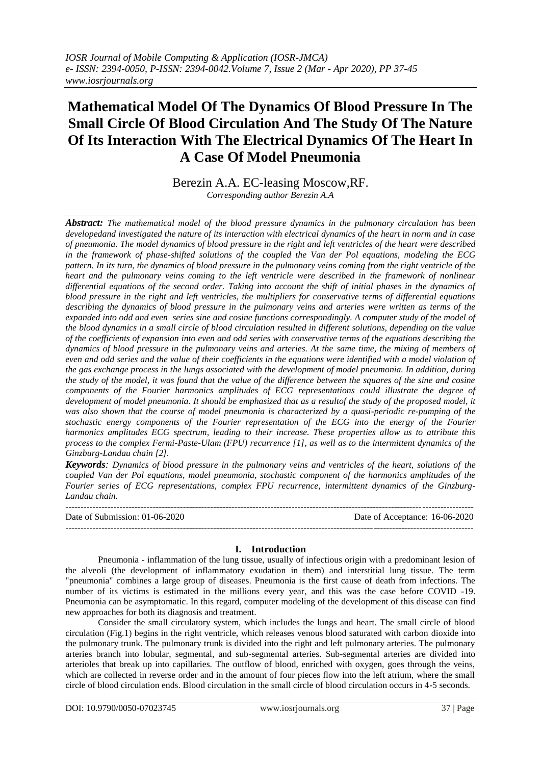# **Mathematical Model Of The Dynamics Of Blood Pressure In The Small Circle Of Blood Circulation And The Study Of The Nature Of Its Interaction With The Electrical Dynamics Of The Heart In A Case Of Model Pneumonia**

Berezin A.A. EC-leasing Moscow,RF. *Corresponding author Berezin A.A*

*Abstract: The mathematical model of the blood pressure dynamics in the pulmonary circulation has been developedand investigated the nature of its interaction with electrical dynamics of the heart in norm and in case of pneumonia. The model dynamics of blood pressure in the right and left ventricles of the heart were described in the framework of phase-shifted solutions of the coupled the Van der Pol equations, modeling the ECG pattern. In its turn, the dynamics of blood pressure in the pulmonary veins coming from the right ventricle of the heart and the pulmonary veins coming to the left ventricle were described in the framework of nonlinear*  differential equations of the second order. Taking into account the shift of initial phases in the dynamics of *blood pressure in the right and left ventricles, the multipliers for conservative terms of differential equations describing the dynamics of blood pressure in the pulmonary veins and arteries were written as terms of the expanded into odd and even series sine and cosine functions correspondingly. A computer study of the model of the blood dynamics in a small circle of blood circulation resulted in different solutions, depending on the value of the coefficients of expansion into even and odd series with conservative terms of the equations describing the dynamics of blood pressure in the pulmonary veins and arteries. At the same time, the mixing of members of even and odd series and the value of their coefficients in the equations were identified with a model violation of the gas exchange process in the lungs associated with the development of model pneumonia. In addition, during the study of the model, it was found that the value of the difference between the squares of the sine and cosine components of the Fourier harmonics amplitudes of ECG representations could illustrate the degree of development of model pneumonia. It should be emphasized that as a resultof the study of the proposed model, it was also shown that the course of model pneumonia is characterized by a quasi-periodic re-pumping of the stochastic energy components of the Fourier representation of the ECG into the energy of the Fourier harmonics amplitudes ECG spectrum, leading to their increase. These properties allow us to attribute this process to the complex Fermi-Paste-Ulam (FPU) recurrence [1], as well as to the intermittent dynamics of the Ginzburg-Landau chain [2].*

*Keywords: Dynamics of blood pressure in the pulmonary veins and ventricles of the heart, solutions of the coupled Van der Pol equations, model pneumonia, stochastic component of the harmonics amplitudes of the Fourier series of ECG representations, complex FPU recurrence, intermittent dynamics of the Ginzburg-Landau chain.*

--------------------------------------------------------------------------------------------------------------------------------------- Date of Submission: 01-06-2020 Date of Acceptance: 16-06-2020 ---------------------------------------------------------------------------------------------------------------------------------------

## **I. Introduction**

Pneumonia - inflammation of the lung tissue, usually of infectious origin with a predominant lesion of the alveoli (the development of inflammatory exudation in them) and interstitial lung tissue. The term "pneumonia" combines a large group of diseases. Pneumonia is the first cause of death from infections. The number of its victims is estimated in the millions every year, and this was the case before COVID -19. Pneumonia can be asymptomatic. In this regard, computer modeling of the development of this disease can find new approaches for both its diagnosis and treatment.

Consider the small circulatory system, which includes the lungs and heart. The small circle of blood circulation (Fig.1) begins in the right ventricle, which releases venous blood saturated with carbon dioxide into the pulmonary trunk. The pulmonary trunk is divided into the right and left pulmonary arteries. The pulmonary arteries branch into lobular, segmental, and sub-segmental arteries. Sub-segmental arteries are divided into arterioles that break up into capillaries. The outflow of blood, enriched with oxygen, goes through the veins, which are collected in reverse order and in the amount of four pieces flow into the left atrium, where the small circle of blood circulation ends. Blood circulation in the small circle of blood circulation occurs in 4-5 seconds.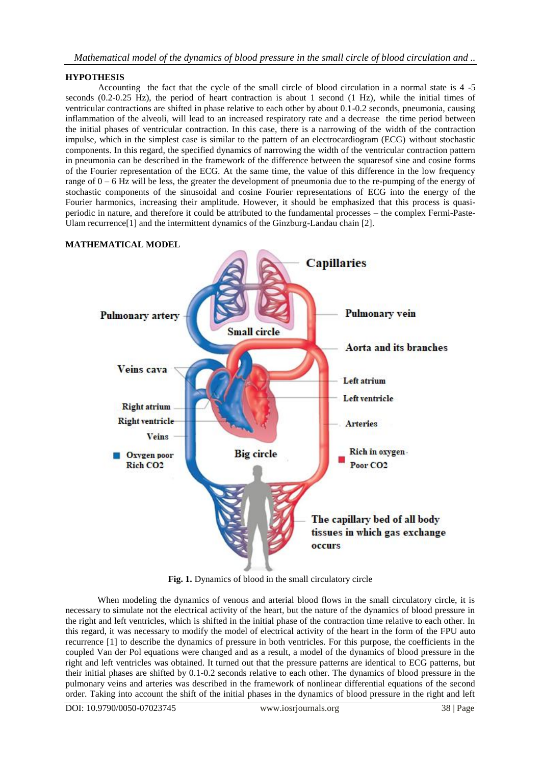## **HYPOTHESIS**

Accounting the fact that the cycle of the small circle of blood circulation in a normal state is 4 -5 seconds (0.2-0.25 Hz), the period of heart contraction is about 1 second (1 Hz), while the initial times of ventricular contractions are shifted in phase relative to each other by about 0.1-0.2 seconds, pneumonia, causing inflammation of the alveoli, will lead to an increased respiratory rate and a decrease the time period between the initial phases of ventricular contraction. In this case, there is a narrowing of the width of the contraction impulse, which in the simplest case is similar to the pattern of an electrocardiogram (ECG) without stochastic components. In this regard, the specified dynamics of narrowing the width of the ventricular contraction pattern in pneumonia can be described in the framework of the difference between the squaresof sine and cosine forms of the Fourier representation of the ECG. At the same time, the value of this difference in the low frequency range of  $0 - 6$  Hz will be less, the greater the development of pneumonia due to the re-pumping of the energy of stochastic components of the sinusoidal and cosine Fourier representations of ECG into the energy of the Fourier harmonics, increasing their amplitude. However, it should be emphasized that this process is quasiperiodic in nature, and therefore it could be attributed to the fundamental processes – the complex Fermi-Paste-Ulam recurrence<sup>[1]</sup> and the intermittent dynamics of the Ginzburg-Landau chain [2].

# **Capillaries Pulmonary vein Pulmonary artery Small circle** Aorta and its branches Veins cava **Left atrium** Left ventricle **Right atrium Right ventricle Arteries** Veins Rich in oxygen-**Big** circle **Oxygen** poor **Rich CO<sub>2</sub>** Poor CO<sub>2</sub> The capillary bed of all body tissues in which gas exchange occurs

#### **MATHEMATICAL MODEL**

**Fig. 1.** Dynamics of blood in the small circulatory circle

When modeling the dynamics of venous and arterial blood flows in the small circulatory circle, it is necessary to simulate not the electrical activity of the heart, but the nature of the dynamics of blood pressure in the right and left ventricles, which is shifted in the initial phase of the contraction time relative to each other. In this regard, it was necessary to modify the model of electrical activity of the heart in the form of the FPU auto recurrence [1] to describe the dynamics of pressure in both ventricles. For this purpose, the coefficients in the coupled Van der Pol equations were changed and as a result, a model of the dynamics of blood pressure in the right and left ventricles was obtained. It turned out that the pressure patterns are identical to ECG patterns, but their initial phases are shifted by 0.1-0.2 seconds relative to each other. The dynamics of blood pressure in the pulmonary veins and arteries was described in the framework of nonlinear differential equations of the second order. Taking into account the shift of the initial phases in the dynamics of blood pressure in the right and left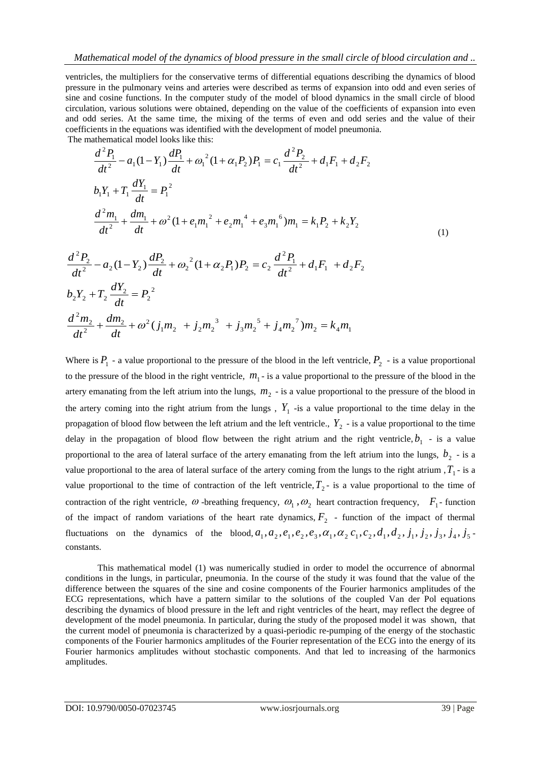ventricles, the multipliers for the conservative terms of differential equations describing the dynamics of blood pressure in the pulmonary veins and arteries were described as terms of expansion into odd and even series of sine and cosine functions. In the computer study of the model of blood dynamics in the small circle of blood circulation, various solutions were obtained, depending on the value of the coefficients of expansion into even and odd series. At the same time, the mixing of the terms of even and odd series and the value of their coefficients in the equations was identified with the development of model pneumonia. The mathematical model looks like this:

$$
\frac{d^2P_1}{dt^2} - a_1(1 - Y_1)\frac{dP_1}{dt} + \omega_1^2(1 + \alpha_1 P_2)P_1 = c_1\frac{d^2P_2}{dt^2} + d_1F_1 + d_2F_2
$$
\n
$$
b_1Y_1 + T_1\frac{dY_1}{dt} = P_1^2
$$
\n
$$
\frac{d^2m_1}{dt^2} + \frac{dm_1}{dt} + \omega^2(1 + e_1m_1^2 + e_2m_1^4 + e_3m_1^6)m_1 = k_1P_2 + k_2Y_2
$$
\n(1)

$$
\frac{d^2P_2}{dt^2} - a_2(1 - Y_2)\frac{dP_2}{dt} + \omega_2^2(1 + \alpha_2 P_1)P_2 = c_2\frac{d^2P_1}{dt^2} + d_1F_1 + d_2F_2
$$
  
\n
$$
b_2Y_2 + T_2\frac{dY_2}{dt} = P_2^2
$$
  
\n
$$
\frac{d^2m_2}{dt^2} + \frac{dm_2}{dt} + \omega^2(j_1m_2 + j_2m_2^3 + j_3m_2^5 + j_4m_2^7)m_2 = k_4m_1
$$

Where is  $P_1$  - a value proportional to the pressure of the blood in the left ventricle,  $P_2$  - is a value proportional to the pressure of the blood in the right ventricle,  $m_1$ - is a value proportional to the pressure of the blood in the artery emanating from the left atrium into the lungs,  $m<sub>2</sub>$  - is a value proportional to the pressure of the blood in the artery coming into the right atrium from the lungs,  $Y_1$  -is a value proportional to the time delay in the propagation of blood flow between the left atrium and the left ventricle.,  $Y_2$  - is a value proportional to the time delay in the propagation of blood flow between the right atrium and the right ventricle,  $b_1$  - is a value proportional to the area of lateral surface of the artery emanating from the left atrium into the lungs,  $b_2$  - is a value proportional to the area of lateral surface of the artery coming from the lungs to the right atrium  $T_1$ - is a value proportional to the time of contraction of the left ventricle,  $T_2$ - is a value proportional to the time of contraction of the right ventricle,  $\omega$ -breathing frequency,  $\omega_1$ ,  $\omega_2$  heart contraction frequency,  $F_1$ - function of the impact of random variations of the heart rate dynamics,  $F_2$  - function of the impact of thermal fluctuations on the dynamics of the blood,  $a_1$ ,  $a_2$ ,  $e_1$ ,  $e_2$ ,  $e_3$ ,  $a_1$ ,  $a_2$ ,  $c_1$ ,  $c_2$ ,  $d_1$ ,  $d_2$ ,  $j_1$ ,  $j_2$ ,  $j_3$ ,  $j_4$ ,  $j_5$ constants.

This mathematical model (1) was numerically studied in order to model the occurrence of abnormal conditions in the lungs, in particular, pneumonia. In the course of the study it was found that the value of the difference between the squares of the sine and cosine components of the Fourier harmonics amplitudes of the ECG representations, which have a pattern similar to the solutions of the coupled Van der Pol equations describing the dynamics of blood pressure in the left and right ventricles of the heart, may reflect the degree of development of the model pneumonia. In particular, during the study of the proposed model it was shown, that the current model of pneumonia is characterized by a quasi-periodic re-pumping of the energy of the stochastic components of the Fourier harmonics amplitudes of the Fourier representation of the ECG into the energy of its Fourier harmonics amplitudes without stochastic components. And that led to increasing of the harmonics amplitudes.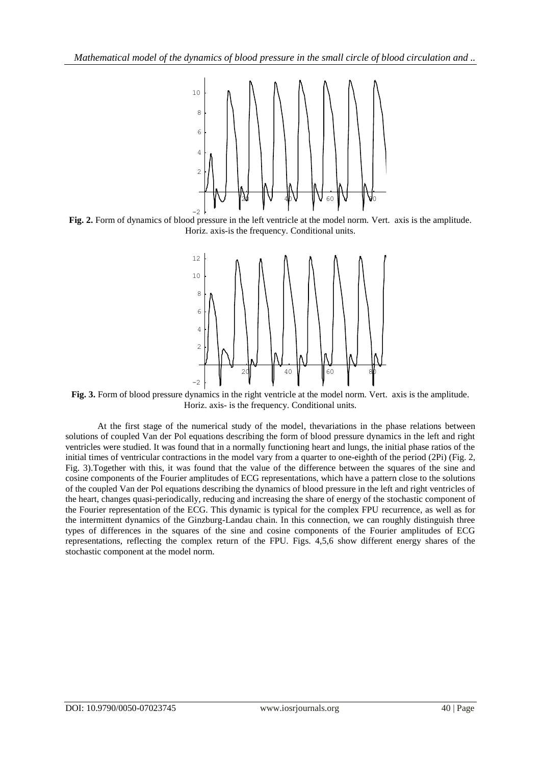

**Fig. 2.** Form of dynamics of blood pressure in the left ventricle at the model norm. Vert. axis is the amplitude. Horiz. axis-is the frequency. Conditional units.



**Fig. 3.** Form of blood pressure dynamics in the right ventricle at the model norm. Vert. axis is the amplitude. Horiz. axis- is the frequency. Conditional units.

At the first stage of the numerical study of the model, thevariations in the phase relations between solutions of coupled Van der Pol equations describing the form of blood pressure dynamics in the left and right ventricles were studied. It was found that in a normally functioning heart and lungs, the initial phase ratios of the initial times of ventricular contractions in the model vary from a quarter to one-eighth of the period (2Pi) (Fig. 2, Fig. 3).Together with this, it was found that the value of the difference between the squares of the sine and cosine components of the Fourier amplitudes of ECG representations, which have a pattern close to the solutions of the coupled Van der Pol equations describing the dynamics of blood pressure in the left and right ventricles of the heart, changes quasi-periodically, reducing and increasing the share of energy of the stochastic component of the Fourier representation of the ECG. This dynamic is typical for the complex FPU recurrence, as well as for the intermittent dynamics of the Ginzburg-Landau chain. In this connection, we can roughly distinguish three types of differences in the squares of the sine and cosine components of the Fourier amplitudes of ECG representations, reflecting the complex return of the FPU. Figs. 4,5,6 show different energy shares of the stochastic component at the model norm.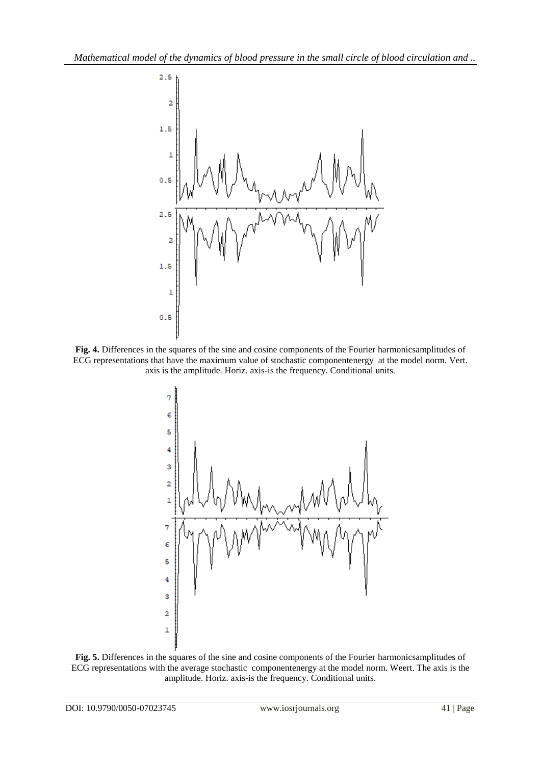

**Fig. 4.** Differences in the squares of the sine and cosine components of the Fourier harmonicsamplitudes of ECG representations that have the maximum value of stochastic componentenergy at the model norm. Vert. axis is the amplitude. Horiz. axis-is the frequency. Conditional units.



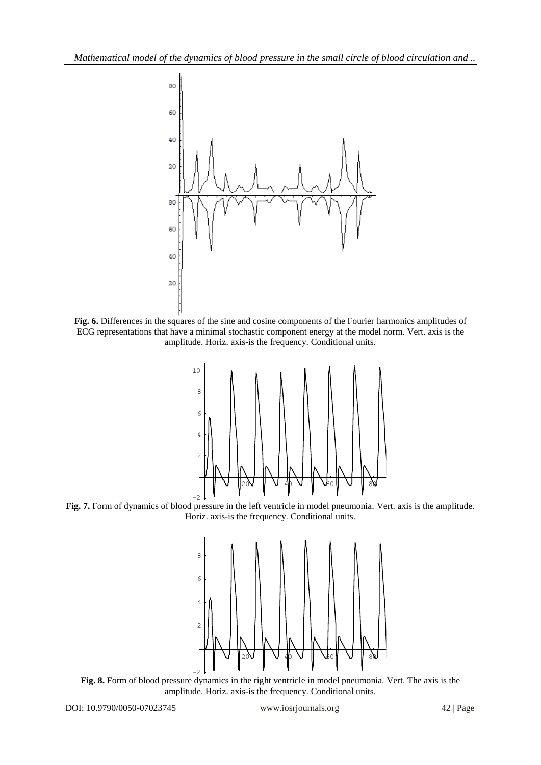

**Fig. 6.** Differences in the squares of the sine and cosine components of the Fourier harmonics amplitudes of ECG representations that have a minimal stochastic component energy at the model norm. Vert. axis is the amplitude. Horiz. axis-is the frequency. Conditional units.



**Fig. 7.** Form of dynamics of blood pressure in the left ventricle in model pneumonia. Vert. axis is the amplitude. Horiz. axis-is the frequency. Conditional units.



**Fig. 8.** Form of blood pressure dynamics in the right ventricle in model pneumonia. Vert. The axis is the amplitude. Horiz. axis-is the frequency. Conditional units.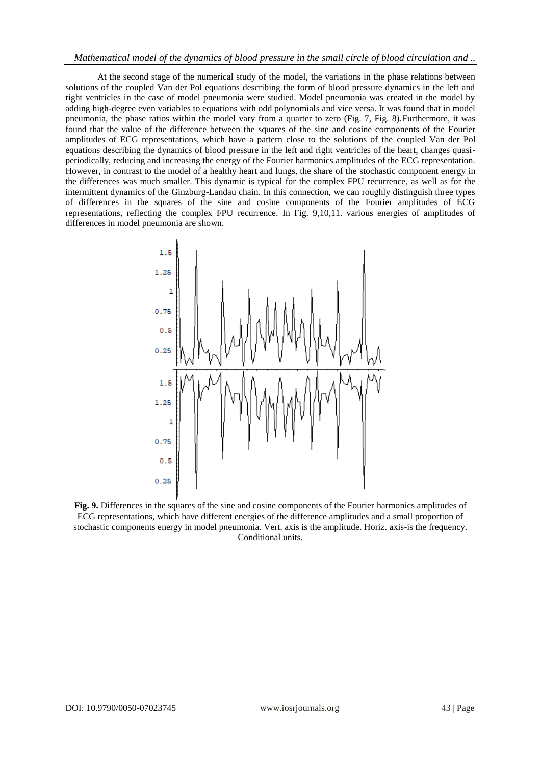At the second stage of the numerical study of the model, the variations in the phase relations between solutions of the coupled Van der Pol equations describing the form of blood pressure dynamics in the left and right ventricles in the case of model pneumonia were studied. Model pneumonia was created in the model by adding high-degree even variables to equations with odd polynomials and vice versa. It was found that in model pneumonia, the phase ratios within the model vary from a quarter to zero (Fig. 7, Fig. 8).Furthermore, it was found that the value of the difference between the squares of the sine and cosine components of the Fourier amplitudes of ECG representations, which have a pattern close to the solutions of the coupled Van der Pol equations describing the dynamics of blood pressure in the left and right ventricles of the heart, changes quasiperiodically, reducing and increasing the energy of the Fourier harmonics amplitudes of the ECG representation. However, in contrast to the model of a healthy heart and lungs, the share of the stochastic component energy in the differences was much smaller. This dynamic is typical for the complex FPU recurrence, as well as for the intermittent dynamics of the Ginzburg-Landau chain. In this connection, we can roughly distinguish three types of differences in the squares of the sine and cosine components of the Fourier amplitudes of ECG representations, reflecting the complex FPU recurrence. In Fig. 9,10,11. various energies of amplitudes of differences in model pneumonia are shown.



**Fig. 9.** Differences in the squares of the sine and cosine components of the Fourier harmonics amplitudes of ECG representations, which have different energies of the difference amplitudes and a small proportion of stochastic components energy in model pneumonia. Vert. axis is the amplitude. Horiz. axis-is the frequency. Conditional units.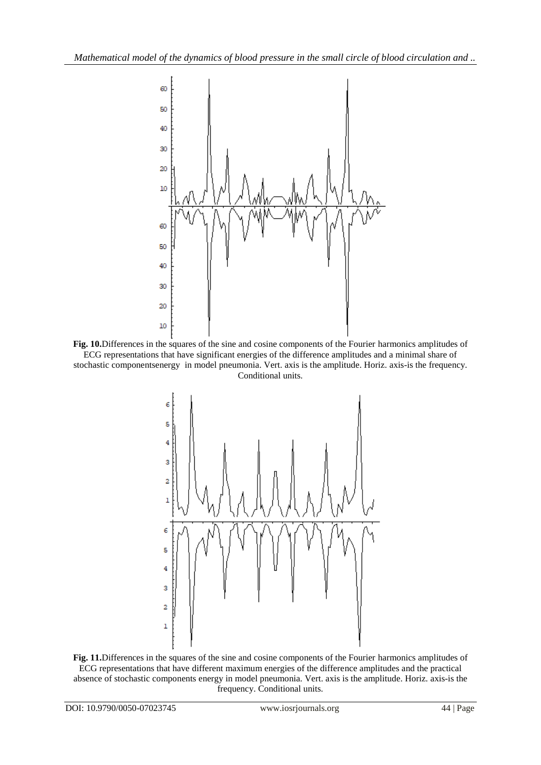

**Fig. 10.**Differences in the squares of the sine and cosine components of the Fourier harmonics amplitudes of ECG representations that have significant energies of the difference amplitudes and a minimal share of stochastic componentsenergy in model pneumonia. Vert. axis is the amplitude. Horiz. axis-is the frequency. Conditional units.



**Fig. 11.**Differences in the squares of the sine and cosine components of the Fourier harmonics amplitudes of ECG representations that have different maximum energies of the difference amplitudes and the practical absence of stochastic components energy in model pneumonia. Vert. axis is the amplitude. Horiz. axis-is the frequency. Conditional units.